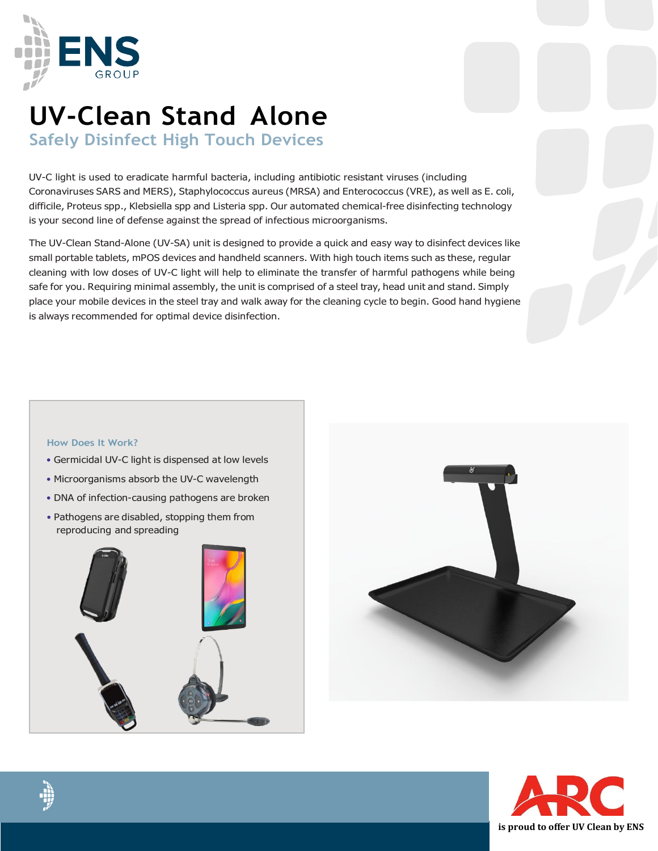

# **UV-Clean Stand Alone**

**Safely Disinfect High Touch Devices**

UV-C light is used to eradicate harmful bacteria, including antibiotic resistant viruses (including Coronaviruses SARS and MERS), Staphylococcus aureus (MRSA) and Enterococcus (VRE), as well as E. coli, difficile, Proteus spp., Klebsiella spp and Listeria spp. Our automated chemical-free disinfecting technology is your second line of defense against the spread of infectious microorganisms.

The UV-Clean Stand-Alone (UV-SA) unit is designed to provide a quick and easy way to disinfect devices like small portable tablets, mPOS devices and handheld scanners. With high touch items such as these, regular cleaning with low doses of UV-C light will help to eliminate the transfer of harmful pathogens while being safe for you. Requiring minimal assembly, the unit is comprised of a steel tray, head unit and stand. Simply place your mobile devices in the steel tray and walk away for the cleaning cycle to begin. Good hand hygiene is always recommended for optimal device disinfection.

#### **How Does It Work?**

- Germicidal UV-C light is dispensed at low levels
- Microorganisms absorb the UV-C wavelength
- DNA of infection-causing pathogens are broken
- Pathogens are disabled, stopping them from reproducing and spreading